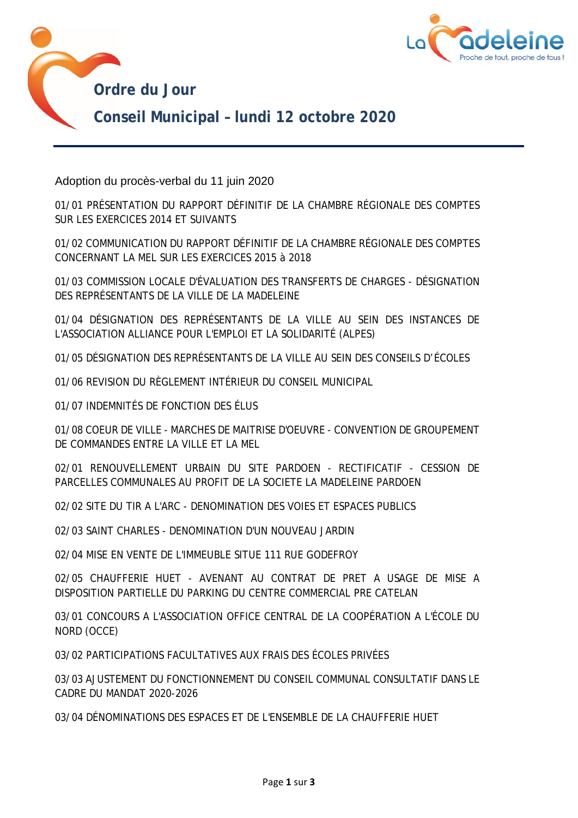



Adoption du procès-verbal du 11 juin 2020

01/01 PRÉSENTATION DU RAPPORT DÉFINITIF DE LA CHAMBRE RÉGIONALE DES COMPTES SUR LES EXERCICES 2014 ET SUIVANTS

01/02 COMMUNICATION DU RAPPORT DÉFINITIF DE LA CHAMBRE RÉGIONALE DES COMPTES CONCERNANT LA MEL SUR LES EXERCICES 2015 à 2018

01/03 COMMISSION LOCALE D'ÉVALUATION DES TRANSFERTS DE CHARGES - DÉSIGNATION DES REPRÉSENTANTS DE LA VILLE DE LA MADELEINE

01/04 DÉSIGNATION DES REPRÉSENTANTS DE LA VILLE AU SEIN DES INSTANCES DE L'ASSOCIATION ALLIANCE POUR L'EMPLOI ET LA SOLIDARITÉ (ALPES)

01/05 DÉSIGNATION DES REPRÉSENTANTS DE LA VILLE AU SEIN DES CONSEILS D'ÉCOLES

01/06 REVISION DU RÈGLEMENT INTÉRIEUR DU CONSEIL MUNICIPAL

01/07 INDEMNITÉS DE FONCTION DES ÉLUS

01/08 COEUR DE VILLE - MARCHES DE MAITRISE D'OEUVRE - CONVENTION DE GROUPEMENT DE COMMANDES ENTRE LA VILLE ET LA MEL

02/01 RENOUVELLEMENT URBAIN DU SITE PARDOEN - RECTIFICATIF - CESSION DE PARCELLES COMMUNALES AU PROFIT DE LA SOCIETE LA MADELEINE PARDOEN

02/02 SITE DU TIR A L'ARC - DENOMINATION DES VOIES ET ESPACES PUBLICS

02/03 SAINT CHARLES - DENOMINATION D'UN NOUVEAU JARDIN

02/04 MISE EN VENTE DE L'IMMEUBLE SITUE 111 RUE GODEFROY

02/05 CHAUFFERIE HUET - AVENANT AU CONTRAT DE PRET A USAGE DE MISE A DISPOSITION PARTIELLE DU PARKING DU CENTRE COMMERCIAL PRE CATELAN

03/01 CONCOURS A L'ASSOCIATION OFFICE CENTRAL DE LA COOPÉRATION A L'ÉCOLE DU NORD (OCCE)

03/02 PARTICIPATIONS FACULTATIVES AUX FRAIS DES ÉCOLES PRIVÉES

03/03 AJUSTEMENT DU FONCTIONNEMENT DU CONSEIL COMMUNAL CONSULTATIF DANS LE CADRE DU MANDAT 2020-2026

03/04 DÉNOMINATIONS DES ESPACES ET DE L'ENSEMBLE DE LA CHAUFFERIE HUET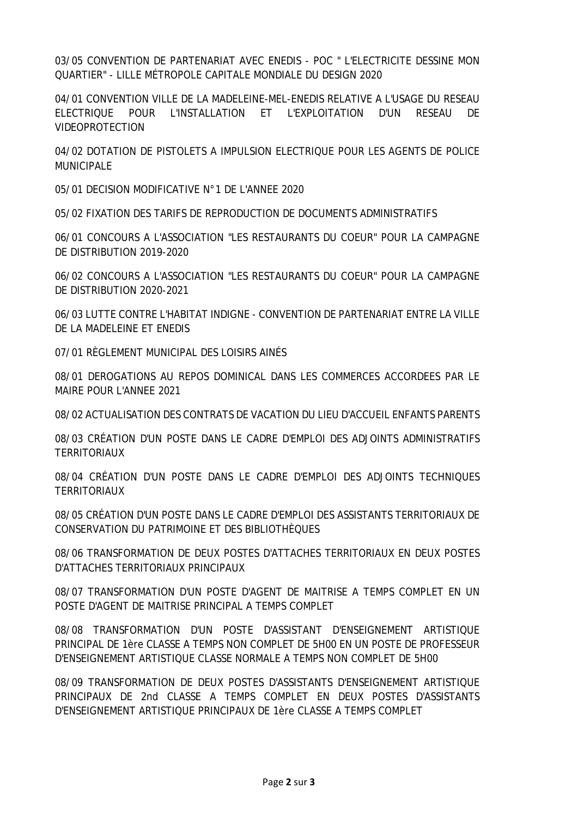03/05 CONVENTION DE PARTENARIAT AVEC ENEDIS - POC " L'ELECTRICITE DESSINE MON QUARTIER" - LILLE MÉTROPOLE CAPITALE MONDIALE DU DESIGN 2020

04/01 CONVENTION VILLE DE LA MADELEINE-MEL-ENEDIS RELATIVE A L'USAGE DU RESEAU ELECTRIQUE POUR L'INSTALLATION ET L'EXPLOITATION D'UN RESEAU DE VIDEOPROTECTION

04/02 DOTATION DE PISTOLETS A IMPULSION ELECTRIQUE POUR LES AGENTS DE POLICE MUNICIPALE

05/01 DECISION MODIFICATIVE N°1 DE L'ANNEE 2020

05/02 FIXATION DES TARIFS DE REPRODUCTION DE DOCUMENTS ADMINISTRATIFS

06/01 CONCOURS A L'ASSOCIATION "LES RESTAURANTS DU COEUR" POUR LA CAMPAGNE DE DISTRIBUTION 2019-2020

06/02 CONCOURS A L'ASSOCIATION "LES RESTAURANTS DU COEUR" POUR LA CAMPAGNE DE DISTRIBUTION 2020-2021

06/03 LUTTE CONTRE L'HABITAT INDIGNE - CONVENTION DE PARTENARIAT ENTRE LA VILLE DE LA MADELEINE ET ENEDIS

07/01 RÈGLEMENT MUNICIPAL DES LOISIRS AINÉS

08/01 DEROGATIONS AU REPOS DOMINICAL DANS LES COMMERCES ACCORDEES PAR LE MAIRE POUR L'ANNEE 2021

08/02 ACTUALISATION DES CONTRATS DE VACATION DU LIEU D'ACCUEIL ENFANTS PARENTS

08/03 CRÉATION D'UN POSTE DANS LE CADRE D'EMPLOI DES ADJOINTS ADMINISTRATIFS **TERRITORIAUX** 

08/04 CRÉATION D'UN POSTE DANS LE CADRE D'EMPLOI DES ADJOINTS TECHNIQUES TERRITORIAUX

08/05 CRÉATION D'UN POSTE DANS LE CADRE D'EMPLOI DES ASSISTANTS TERRITORIAUX DE CONSERVATION DU PATRIMOINE ET DES BIBLIOTHÈQUES

08/06 TRANSFORMATION DE DEUX POSTES D'ATTACHES TERRITORIAUX EN DEUX POSTES D'ATTACHES TERRITORIAUX PRINCIPAUX

08/07 TRANSFORMATION D'UN POSTE D'AGENT DE MAITRISE A TEMPS COMPLET EN UN POSTE D'AGENT DE MAITRISE PRINCIPAL A TEMPS COMPLET

08/08 TRANSFORMATION D'UN POSTE D'ASSISTANT D'ENSEIGNEMENT ARTISTIQUE PRINCIPAL DE 1ère CLASSE A TEMPS NON COMPLET DE 5H00 EN UN POSTE DE PROFESSEUR D'ENSEIGNEMENT ARTISTIQUE CLASSE NORMALE A TEMPS NON COMPLET DE 5H00

08/09 TRANSFORMATION DE DEUX POSTES D'ASSISTANTS D'ENSEIGNEMENT ARTISTIQUE PRINCIPAUX DE 2nd CLASSE A TEMPS COMPLET EN DEUX POSTES D'ASSISTANTS D'ENSEIGNEMENT ARTISTIQUE PRINCIPAUX DE 1ère CLASSE A TEMPS COMPLET